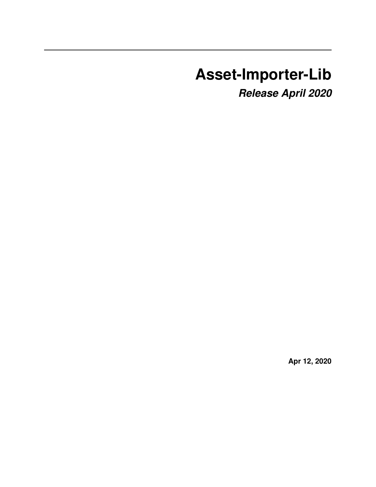# **Asset-Importer-Lib**

*Release April 2020*

**Apr 12, 2020**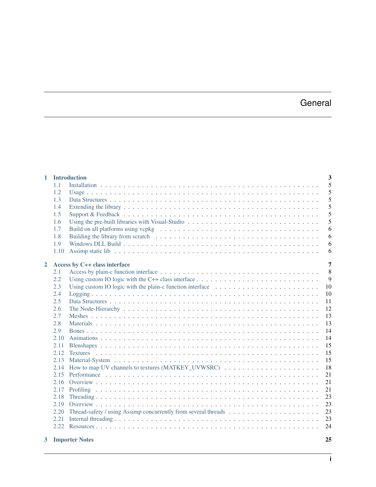# General

| 1              |       | <b>Introduction</b>                                                                                                    |    |  |
|----------------|-------|------------------------------------------------------------------------------------------------------------------------|----|--|
|                | 1.1   |                                                                                                                        | 5  |  |
|                | 1.2   |                                                                                                                        | 5  |  |
|                | 1.3   |                                                                                                                        | 5  |  |
|                | 1.4   |                                                                                                                        | 5  |  |
|                | 1.5   |                                                                                                                        | 5  |  |
|                | 1.6   | Using the pre-built libraries with Visual-Studio                                                                       | 5  |  |
|                | 1.7   |                                                                                                                        | 6  |  |
|                | 1.8   |                                                                                                                        | 6  |  |
|                | 1.9   |                                                                                                                        | 6  |  |
|                | 1.10  |                                                                                                                        | 6  |  |
| $\overline{2}$ |       | Access by C++ class interface                                                                                          | 7  |  |
|                | 2.1   |                                                                                                                        | 8  |  |
|                | 2.2   | Using custom IO logic with the C++ class interface $\dots \dots \dots \dots \dots \dots \dots \dots \dots \dots \dots$ | 9  |  |
|                | 2.3   | Using custom IO logic with the plain-c function interface $\ldots \ldots \ldots \ldots \ldots \ldots \ldots \ldots$    | 10 |  |
|                | 2.4   |                                                                                                                        | 10 |  |
|                | 2.5   |                                                                                                                        | 11 |  |
|                | 2.6   |                                                                                                                        | 12 |  |
|                | 2.7   |                                                                                                                        | 13 |  |
|                | 2.8   |                                                                                                                        | 13 |  |
|                | 2.9   |                                                                                                                        | 14 |  |
|                | 2.10  |                                                                                                                        | 14 |  |
|                | 2.11  |                                                                                                                        | 15 |  |
|                | 2.12. |                                                                                                                        | 15 |  |
|                | 2.13  |                                                                                                                        | 15 |  |
|                | 2.14  |                                                                                                                        | 18 |  |
|                | 2.15  |                                                                                                                        | 21 |  |
|                | 2.16  |                                                                                                                        | 21 |  |
|                | 2.17  |                                                                                                                        | 21 |  |
|                | 2.18  |                                                                                                                        | 23 |  |
|                | 2.19  |                                                                                                                        | 23 |  |
|                | 2.20  |                                                                                                                        | 23 |  |
|                | 2.21  |                                                                                                                        | 23 |  |
|                | 2.22  |                                                                                                                        | 24 |  |
| 3              |       | <b>Importer Notes</b>                                                                                                  | 25 |  |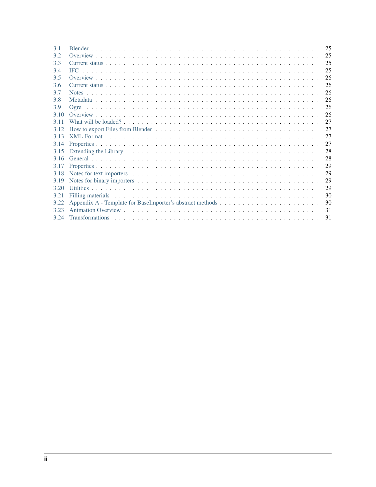| 3.1  | 25 |
|------|----|
| 3.2  | 25 |
| 3.3  | 25 |
| 3.4  | 25 |
| 3.5  | 26 |
| 3.6  | 26 |
| 3.7  | 26 |
| 3.8  | 26 |
| 3.9  | 26 |
| 3.10 | 26 |
| 3.11 | 27 |
| 3.12 | 27 |
| 3.13 | 27 |
| 3.14 | 27 |
| 3.15 | 28 |
| 3.16 | 28 |
| 3.17 | 29 |
| 3.18 | 29 |
| 3.19 | 29 |
| 3.20 | 29 |
| 3.21 | 30 |
| 3.22 | 30 |
| 3.23 | 31 |
| 3.24 | 31 |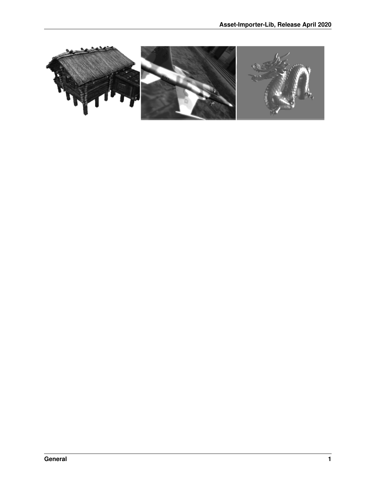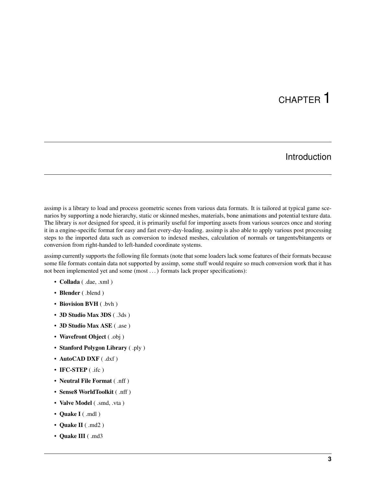# CHAPTER 1

### Introduction

<span id="page-6-0"></span>assimp is a library to load and process geometric scenes from various data formats. It is tailored at typical game scenarios by supporting a node hierarchy, static or skinned meshes, materials, bone animations and potential texture data. The library is *not* designed for speed, it is primarily useful for importing assets from various sources once and storing it in a engine-specific format for easy and fast every-day-loading. assimp is also able to apply various post processing steps to the imported data such as conversion to indexed meshes, calculation of normals or tangents/bitangents or conversion from right-handed to left-handed coordinate systems.

assimp currently supports the following file formats (note that some loaders lack some features of their formats because some file formats contain data not supported by assimp, some stuff would require so much conversion work that it has not been implemented yet and some (most . . . ) formats lack proper specifications):

- Collada (.dae, .xml)
- **Blender** (.blend )
- Biovision BVH ( .bvh )
- 3D Studio Max 3DS ( .3ds )
- 3D Studio Max ASE ( .ase )
- Wavefront Object (.obj)
- Stanford Polygon Library ( .ply )
- AutoCAD DXF ( .dxf )
- **IFC-STEP** ( .ifc )
- Neutral File Format ( .nff )
- Sense8 WorldToolkit ( .nff )
- Valve Model ( .smd, .vta )
- **Quake I** (.mdl)
- Quake II ( .md2 )
- Quake III ( .md3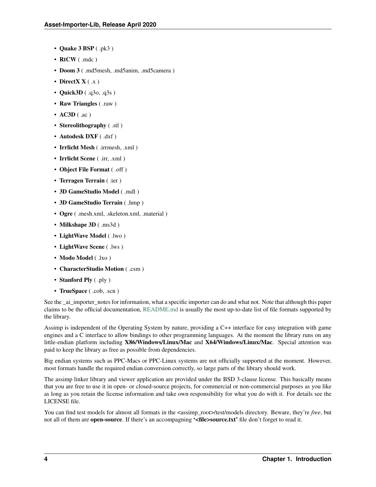- **Quake 3 BSP** ( .pk3 )
- RtCW ( .mdc )
- Doom 3 ( .md5mesh, .md5anim, .md5camera )
- DirectX  $X(x)$
- Quick $3D$  ( $.q30, .q3s$ )
- Raw Triangles ( .raw )
- $AC3D$  (.ac)
- Stereolithography ( .stl )
- Autodesk DXF ( .dxf )
- Irrlicht Mesh (.irrmesh, .xml)
- Irrlicht Scene ( .irr, .xml )
- Object File Format ( .off )
- Terragen Terrain (.ter)
- 3D GameStudio Model ( .mdl )
- 3D GameStudio Terrain ( .hmp )
- Ogre ( .mesh.xml, .skeleton.xml, .material )
- Milkshape 3D ( .ms3d )
- LightWave Model ( .lwo )
- LightWave Scene ( .lws )
- Modo Model ( .lxo )
- CharacterStudio Motion ( .csm )
- Stanford Ply ( .ply )
- TrueSpace (.cob, .scn)

See the ai importer notes for information, what a specific importer can do and what not. Note that although this paper claims to be the official documentation, [README.md](https://github.com/assimp/assimp/blob/master/Readme.md) is usually the most up-to-date list of file formats supported by the library.

Assimp is independent of the Operating System by nature, providing a C++ interface for easy integration with game engines and a C interface to allow bindings to other programming languages. At the moment the library runs on any little-endian platform including X86/Windows/Linux/Mac and X64/Windows/Linux/Mac. Special attention was paid to keep the library as free as possible from dependencies.

Big endian systems such as PPC-Macs or PPC-Linux systems are not officially supported at the moment. However, most formats handle the required endian conversion correctly, so large parts of the library should work.

The assimp linker library and viewer application are provided under the BSD 3-clause license. This basically means that you are free to use it in open- or closed-source projects, for commercial or non-commercial purposes as you like as long as you retain the license information and take own responsibility for what you do with it. For details see the LICENSE file.

You can find test models for almost all formats in the <assimp\_root>/test/models directory. Beware, they're *free*, but not all of them are **open-source**. If there's an accompagning '<file>source.txt' file don't forget to read it.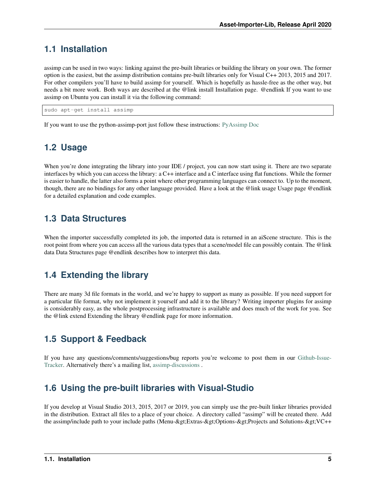# <span id="page-8-0"></span>**1.1 Installation**

assimp can be used in two ways: linking against the pre-built libraries or building the library on your own. The former option is the easiest, but the assimp distribution contains pre-built libraries only for Visual C++ 2013, 2015 and 2017. For other compilers you'll have to build assimp for yourself. Which is hopefully as hassle-free as the other way, but needs a bit more work. Both ways are described at the @link install Installation page. @endlink If you want to use assimp on Ubuntu you can install it via the following command:

sudo apt-get install assimp

If you want to use the python-assimp-port just follow these instructions: [PyAssimp Doc](https://github.com/assimp/assimp/tree/master/port/PyAssimp)

#### <span id="page-8-1"></span>**1.2 Usage**

When you're done integrating the library into your IDE / project, you can now start using it. There are two separate interfaces by which you can access the library: a C++ interface and a C interface using flat functions. While the former is easier to handle, the latter also forms a point where other programming languages can connect to. Up to the moment, though, there are no bindings for any other language provided. Have a look at the @link usage Usage page @endlink for a detailed explanation and code examples.

# <span id="page-8-2"></span>**1.3 Data Structures**

When the importer successfully completed its job, the imported data is returned in an aiScene structure. This is the root point from where you can access all the various data types that a scene/model file can possibly contain. The @link data Data Structures page @endlink describes how to interpret this data.

# <span id="page-8-3"></span>**1.4 Extending the library**

There are many 3d file formats in the world, and we're happy to support as many as possible. If you need support for a particular file format, why not implement it yourself and add it to the library? Writing importer plugins for assimp is considerably easy, as the whole postprocessing infrastructure is available and does much of the work for you. See the @link extend Extending the library @endlink page for more information.

# <span id="page-8-4"></span>**1.5 Support & Feedback**

If you have any questions/comments/suggestions/bug reports you're welcome to post them in our [Github-Issue-](https://github.com/assimp/assimp/issues)[Tracker.](https://github.com/assimp/assimp/issues) Alternatively there's a mailing list, [assimp-discussions](https://sourceforge.net/mailarchive/forum.php?forum_name=assimp-discussions) .

# <span id="page-8-5"></span>**1.6 Using the pre-built libraries with Visual-Studio**

If you develop at Visual Studio 2013, 2015, 2017 or 2019, you can simply use the pre-built linker libraries provided in the distribution. Extract all files to a place of your choice. A directory called "assimp" will be created there. Add the assimp/include path to your include paths (Menu->Extras->Options->Projects and Solutions->VC++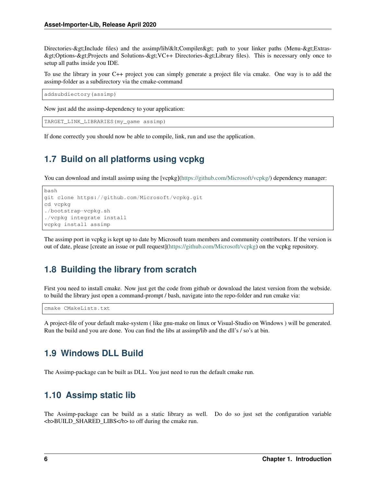Directories-&gt:Include files) and the assimp/lib/&lt:Compiler&gt: path to your linker paths (Menu-&gt:Extras- $\&$ gt;Options- $\&$ gt;Projects and Solutions- $\&$ gt;VC++ Directories- $\&$ gt;Library files). This is necessary only once to setup all paths inside you IDE.

To use the library in your C++ project you can simply generate a project file via cmake. One way is to add the assimp-folder as a subdirectory via the cmake-command

```
addsubdiectory(assimp)
```
Now just add the assimp-dependency to your application:

```
TARGET_LINK_LIBRARIES(my_game assimp)
```
If done correctly you should now be able to compile, link, run and use the application.

# <span id="page-9-0"></span>**1.7 Build on all platforms using vcpkg**

You can download and install assimp using the [vcpkg][\(https://github.com/Microsoft/vcpkg/\)](https://github.com/Microsoft/vcpkg/) dependency manager:

```
bash
git clone https://github.com/Microsoft/vcpkg.git
cd vcpkg
./bootstrap-vcpkg.sh
./vcpkg integrate install
vcpkg install assimp
```
The assimp port in vcpkg is kept up to date by Microsoft team members and community contributors. If the version is out of date, please [create an issue or pull request][\(https://github.com/Microsoft/vcpkg\)](https://github.com/Microsoft/vcpkg) on the vcpkg repository.

# <span id="page-9-1"></span>**1.8 Building the library from scratch**

First you need to install cmake. Now just get the code from github or download the latest version from the webside. to build the library just open a command-prompt / bash, navigate into the repo-folder and run cmake via:

cmake CMakeLists.txt

A project-file of your default make-system ( like gnu-make on linux or Visual-Studio on Windows ) will be generated. Run the build and you are done. You can find the libs at assimp/lib and the dll's / so's at bin.

#### <span id="page-9-2"></span>**1.9 Windows DLL Build**

The Assimp-package can be built as DLL. You just need to run the default cmake run.

#### <span id="page-9-3"></span>**1.10 Assimp static lib**

The Assimp-package can be build as a static library as well. Do do so just set the configuration variable  $**BUILD_SHARENLIBS**$  **to off during the cmake run.**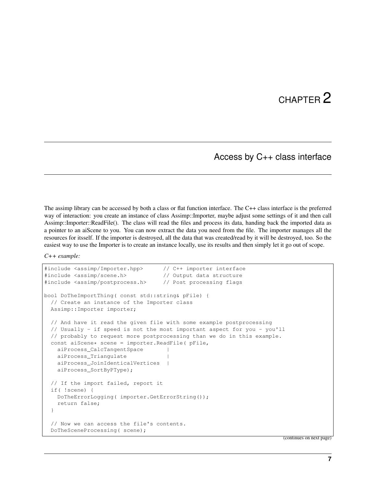# CHAPTER 2

# Access by C++ class interface

<span id="page-10-0"></span>The assimp library can be accessed by both a class or flat function interface. The C++ class interface is the preferred way of interaction: you create an instance of class Assimp::Importer, maybe adjust some settings of it and then call Assimp::Importer::ReadFile(). The class will read the files and process its data, handing back the imported data as a pointer to an aiScene to you. You can now extract the data you need from the file. The importer manages all the resources for itsself. If the importer is destroyed, all the data that was created/read by it will be destroyed, too. So the easiest way to use the Importer is to create an instance locally, use its results and then simply let it go out of scope.

*C++ example:*

```
#include <assimp/Importer.hpp> // C++ importer interface
#include <assimp/scene.h> // Output data structure
#include <assimp/postprocess.h> // Post processing flags
bool DoTheImportThing( const std::string& pFile) {
 // Create an instance of the Importer class
 Assimp::Importer importer;
 // And have it read the given file with some example postprocessing
 // Usually - if speed is not the most important aspect for you - you'll
 // probably to request more postprocessing than we do in this example.
 const aiScene* scene = importer.ReadFile( pFile,
   aiProcess_CalcTangentSpace |
   aiProcess_Triangulate |
   aiProcess_JoinIdenticalVertices |
   aiProcess_SortByPType);
 // If the import failed, report it
 if( !scene) {
   DoTheErrorLogging( importer.GetErrorString());
   return false;
  }
 // Now we can access the file's contents.
 DoTheSceneProcessing( scene);
```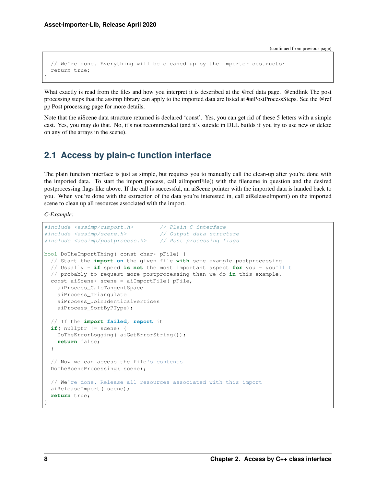```
// We're done. Everything will be cleaned up by the importer destructor
return true;
```
What exactly is read from the files and how you interpret it is described at the @ref data page. @endlink The post processing steps that the assimp library can apply to the imported data are listed at #aiPostProcessSteps. See the @ref pp Post processing page for more details.

Note that the aiScene data structure returned is declared 'const'. Yes, you can get rid of these 5 letters with a simple cast. Yes, you may do that. No, it's not recommended (and it's suicide in DLL builds if you try to use new or delete on any of the arrays in the scene).

# <span id="page-11-0"></span>**2.1 Access by plain-c function interface**

The plain function interface is just as simple, but requires you to manually call the clean-up after you're done with the imported data. To start the import process, call aiImportFile() with the filename in question and the desired postprocessing flags like above. If the call is successful, an aiScene pointer with the imported data is handed back to you. When you're done with the extraction of the data you're interested in, call aiReleaseImport() on the imported scene to clean up all resources associated with the import.

*C-Example:*

}

```
#include <assimp/cimport.h> // Plain-C interface
#include <assimp/scene.h> // Output data structure
#include <assimp/postprocess.h> // Post processing flags
bool DoTheImportThing( const char* pFile) {
 // Start the import on the given file with some example postprocessing
 // Usually - if speed is not the most important aspect for you - you'll t
 // probably to request more postprocessing than we do in this example.
 const aiScene* scene = aiImportFile( pFile,
   aiProcess_CalcTangentSpace |
   aiProcess_Triangulate |
   aiProcess_JoinIdenticalVertices |
   aiProcess_SortByPType);
 // If the import failed, report it
 if( nullptr != scene)DoTheErrorLogging( aiGetErrorString());
    return false;
  }
 // Now we can access the file's contents
 DoTheSceneProcessing( scene);
  // We're done. Release all resources associated with this import
 aiReleaseImport( scene);
 return true;
}
```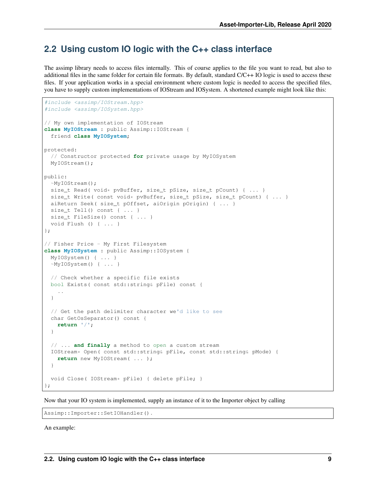# <span id="page-12-0"></span>**2.2 Using custom IO logic with the C++ class interface**

The assimp library needs to access files internally. This of course applies to the file you want to read, but also to additional files in the same folder for certain file formats. By default, standard C/C++ IO logic is used to access these files. If your application works in a special environment where custom logic is needed to access the specified files, you have to supply custom implementations of IOStream and IOSystem. A shortened example might look like this:

```
#include <assimp/IOStream.hpp>
#include <assimp/IOSystem.hpp>
// My own implementation of IOStream
class MyIOStream : public Assimp::IOStream {
  friend class MyIOSystem;
protected:
  // Constructor protected for private usage by MyIOSystem
 MyIOStream();
public:
  ~MyIOStream();
 size_t Read( void* pvBuffer, size_t pSize, size_t pCount) { ... }
 size_t Write( const void* pvBuffer, size_t pSize, size_t pCount) { ... }
 aiReturn Seek( size_t pOffset, aiOrigin pOrigin) { ... }
 size_t Tell() const { ... }
 size_t FileSize() const { ... }
 void Flush () { ... }
};
// Fisher Price - My First Filesystem
class MyIOSystem : public Assimp::IOSystem {
 MyIOSystem() { ... }
 ~MyIOSystem() { ... }
  // Check whether a specific file exists
  bool Exists( const std::string& pFile) const {
    ..
  }
  // Get the path delimiter character we'd like to see
  char GetOsSeparator() const {
   return '/';
  }
  // ... and finally a method to open a custom stream
  IOStream* Open( const std::string& pFile, const std::string& pMode) {
    return new MyIOStream( ... );
  }
  void Close( IOStream* pFile) { delete pFile; }
};
```
Now that your IO system is implemented, supply an instance of it to the Importer object by calling

Assimp::Importer::SetIOHandler().

An example: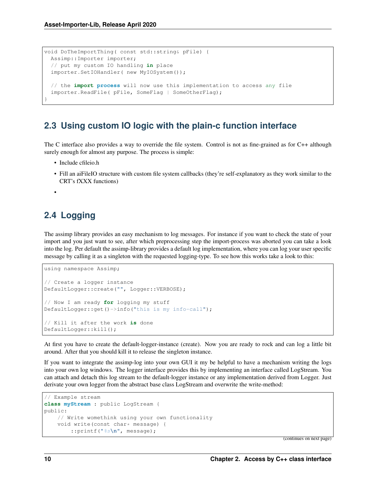```
void DoTheImportThing( const std::string& pFile) {
 Assimp::Importer importer;
 // put my custom IO handling in place
 importer.SetIOHandler( new MyIOSystem());
  // the import process will now use this implementation to access any file
 importer.ReadFile( pFile, SomeFlag | SomeOtherFlag);
}
```
# <span id="page-13-0"></span>**2.3 Using custom IO logic with the plain-c function interface**

The C interface also provides a way to override the file system. Control is not as fine-grained as for C++ although surely enough for almost any purpose. The process is simple:

- Include cfileio.h
- Fill an aiFileIO structure with custom file system callbacks (they're self-explanatory as they work similar to the CRT's fXXX functions)
- •

# <span id="page-13-1"></span>**2.4 Logging**

The assimp library provides an easy mechanism to log messages. For instance if you want to check the state of your import and you just want to see, after which preprocessing step the import-process was aborted you can take a look into the log. Per default the assimp-library provides a default log implementation, where you can log your user specific message by calling it as a singleton with the requested logging-type. To see how this works take a look to this:

```
using namespace Assimp;
// Create a logger instance
DefaultLogger::create("", Logger::VERBOSE);
// Now I am ready for logging my stuff
DefaultLogger::get()->info("this is my info-call");
// Kill it after the work is done
DefaultLogger::kill();
```
At first you have to create the default-logger-instance (create). Now you are ready to rock and can log a little bit around. After that you should kill it to release the singleton instance.

If you want to integrate the assimp-log into your own GUI it my be helpful to have a mechanism writing the logs into your own log windows. The logger interface provides this by implementing an interface called LogStream. You can attach and detach this log stream to the default-logger instance or any implementation derived from Logger. Just derivate your own logger from the abstract base class LogStream and overwrite the write-method:

```
// Example stream
class myStream : public LogStream {
public:
   // Write womethink using your own functionality
   void write(const char* message) {
        ::printf("%s\n", message);
```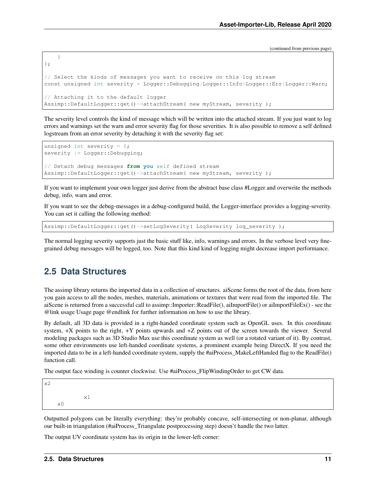```
};
// Select the kinds of messages you want to receive on this log stream
const unsigned int severity = Logger::Debugging|Logger::Info|Logger::Err|Logger::Warn;
// Attaching it to the default logger
Assimp::DefaultLogger::get()->attachStream( new myStream, severity );
```
The severity level controls the kind of message which will be written into the attached stream. If you just want to log errors and warnings set the warn and error severity flag for those severities. It is also possible to remove a self defined logstream from an error severity by detaching it with the severity flag set:

```
unsigned int severity = 0;
severity | = Logger:: Debugging;
// Detach debug messages from you self defined stream
Assimp::DefaultLogger::get()->attachStream( new myStream, severity );
```
If you want to implement your own logger just derive from the abstract base class #Logger and overwrite the methods debug, info, warn and error.

If you want to see the debug-messages in a debug-configured build, the Logger-interface provides a logging-severity. You can set it calling the following method:

Assimp::DefaultLogger::get()->setLogSeverity( LogSeverity log\_severity );

The normal logging severity supports just the basic stuff like, info, warnings and errors. In the verbose level very finegrained debug messages will be logged, too. Note that this kind kind of logging might decrease import performance.

#### <span id="page-14-0"></span>**2.5 Data Structures**

}

The assimp library returns the imported data in a collection of structures. aiScene forms the root of the data, from here you gain access to all the nodes, meshes, materials, animations or textures that were read from the imported file. The aiScene is returned from a successful call to assimp::Importer::ReadFile(), aiImportFile() or aiImportFileEx() - see the @link usage Usage page @endlink for further information on how to use the library.

By default, all 3D data is provided in a right-handed coordinate system such as OpenGL uses. In this coordinate system, +X points to the right, +Y points upwards and +Z points out of the screen towards the viewer. Several modeling packages such as 3D Studio Max use this coordinate system as well (or a rotated variant of it). By contrast, some other environments use left-handed coordinate systems, a prominent example being DirectX. If you need the imported data to be in a left-handed coordinate system, supply the #aiProcess\_MakeLeftHanded flag to the ReadFile() function call.

The output face winding is counter clockwise. Use #aiProcess\_FlipWindingOrder to get CW data.

x2 x1 x0

Outputted polygons can be literally everything: they're probably concave, self-intersecting or non-planar, although our built-in triangulation (#aiProcess\_Triangulate postprocessing step) doesn't handle the two latter.

The output UV coordinate system has its origin in the lower-left corner: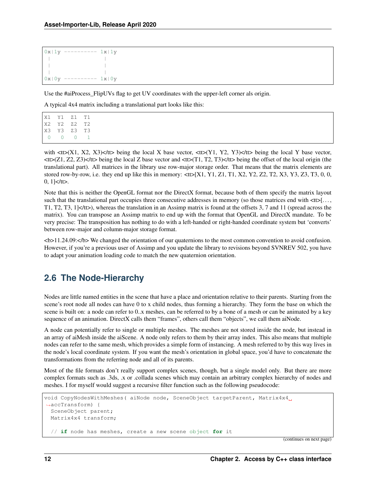```
0x|1y --------- 1x|1y| |
| |
| |
0x|0y --------- 1x|0y
```
Use the #aiProcess\_FlipUVs flag to get UV coordinates with the upper-left corner als origin.

A typical 4x4 matrix including a translational part looks like this:

X1 Y1 Z1 T1 X2 Y2 Z2 T2 X3 Y3 Z3 T3 0 0 0 1

with  $\lt t$ t $\lt N$ 1, X2, X3 $\lt l$ t $\lt t$  being the local X base vector,  $\lt t$ t $\lt N$ 1, Y2, Y3 $\lt l$ t $\lt l$  being the local Y base vector,  $<$ tt $>(Z1, Z2, Z3)$  $<$ /tt $>$  being the local Z base vector and  $<$ tt $>(T1, T2, T3)$  $<$ /tt $>$  being the offset of the local origin (the translational part). All matrices in the library use row-major storage order. That means that the matrix elements are stored row-by-row, i.e. they end up like this in memory:  $\lt t$ t $\ge$ [X1, Y1, Z1, T1, X2, Y2, Z2, T2, X3, Y3, Z3, T3, 0, 0,  $0, 1$ ]  $\lt$ /tt $>$ .

Note that this is neither the OpenGL format nor the DirectX format, because both of them specify the matrix layout such that the translational part occupies three consecutive addresses in memory (so those matrices end with  $\lt t$ t $\lt$ [..., T1, T2, T3,  $1\le t$  (t), whereas the translation in an Assimp matrix is found at the offsets 3, 7 and 11 (spread across the matrix). You can transpose an Assimp matrix to end up with the format that OpenGL and DirectX mandate. To be very precise: The transposition has nothing to do with a left-handed or right-handed coordinate system but 'converts' between row-major and column-major storage format.

<b>11.24.09:</b> We changed the orientation of our quaternions to the most common convention to avoid confusion. However, if you're a previous user of Assimp and you update the library to revisions beyond SVNREV 502, you have to adapt your animation loading code to match the new quaternion orientation.

# <span id="page-15-0"></span>**2.6 The Node-Hierarchy**

Nodes are little named entities in the scene that have a place and orientation relative to their parents. Starting from the scene's root node all nodes can have 0 to x child nodes, thus forming a hierarchy. They form the base on which the scene is built on: a node can refer to 0..x meshes, can be referred to by a bone of a mesh or can be animated by a key sequence of an animation. DirectX calls them "frames", others call them "objects", we call them aiNode.

A node can potentially refer to single or multiple meshes. The meshes are not stored inside the node, but instead in an array of aiMesh inside the aiScene. A node only refers to them by their array index. This also means that multiple nodes can refer to the same mesh, which provides a simple form of instancing. A mesh referred to by this way lives in the node's local coordinate system. If you want the mesh's orientation in global space, you'd have to concatenate the transformations from the referring node and all of its parents.

Most of the file formats don't really support complex scenes, though, but a single model only. But there are more complex formats such as .3ds, .x or .collada scenes which may contain an arbitrary complex hierarchy of nodes and meshes. I for myself would suggest a recursive filter function such as the following pseudocode:

```
void CopyNodesWithMeshes( aiNode node, SceneObject targetParent, Matrix4x4.
˓→accTransform) {
 SceneObject parent;
 Matrix4x4 transform;
  // if node has meshes, create a new scene object for it
```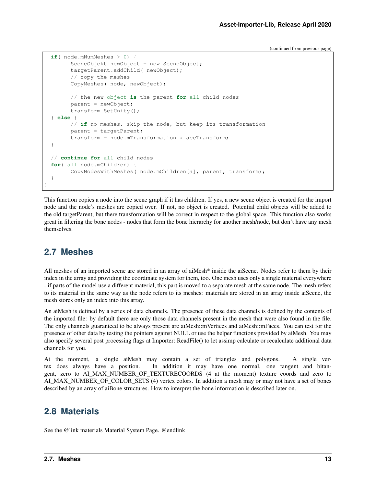```
if( node.mNumMeshes > 0) {
       SceneObjekt newObject = new SceneObject;
       targetParent.addChild( newObject);
        // copy the meshes
       CopyMeshes( node, newObject);
        // the new object is the parent for all child nodes
       parent = newObject;
        transform.SetUnity();
  } else {
        // if no meshes, skip the node, but keep its transformation
       parent = targetParent;
        transform = node.mTransformation * accTransform;}
 // continue for all child nodes
 for( all node.mChildren) {
       CopyNodesWithMeshes( node.mChildren[a], parent, transform);
  }
}
```
This function copies a node into the scene graph if it has children. If yes, a new scene object is created for the import node and the node's meshes are copied over. If not, no object is created. Potential child objects will be added to the old targetParent, but there transformation will be correct in respect to the global space. This function also works great in filtering the bone nodes - nodes that form the bone hierarchy for another mesh/node, but don't have any mesh themselves.

# <span id="page-16-0"></span>**2.7 Meshes**

All meshes of an imported scene are stored in an array of aiMesh\* inside the aiScene. Nodes refer to them by their index in the array and providing the coordinate system for them, too. One mesh uses only a single material everywhere - if parts of the model use a different material, this part is moved to a separate mesh at the same node. The mesh refers to its material in the same way as the node refers to its meshes: materials are stored in an array inside aiScene, the mesh stores only an index into this array.

An aiMesh is defined by a series of data channels. The presence of these data channels is defined by the contents of the imported file: by default there are only those data channels present in the mesh that were also found in the file. The only channels guaranteed to be always present are aiMesh::mVertices and aiMesh::mFaces. You can test for the presence of other data by testing the pointers against NULL or use the helper functions provided by aiMesh. You may also specify several post processing flags at Importer::ReadFile() to let assimp calculate or recalculate additional data channels for you.

At the moment, a single aiMesh may contain a set of triangles and polygons. A single vertex does always have a position. In addition it may have one normal, one tangent and bitangent, zero to AI\_MAX\_NUMBER\_OF\_TEXTURECOORDS (4 at the moment) texture coords and zero to AI\_MAX\_NUMBER\_OF\_COLOR\_SETS (4) vertex colors. In addition a mesh may or may not have a set of bones described by an array of aiBone structures. How to interpret the bone information is described later on.

# <span id="page-16-1"></span>**2.8 Materials**

See the @link materials Material System Page. @endlink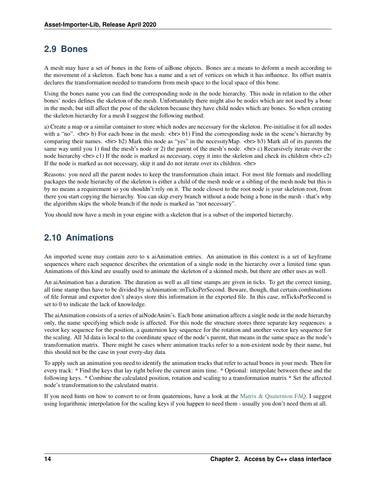# <span id="page-17-0"></span>**2.9 Bones**

A mesh may have a set of bones in the form of aiBone objects. Bones are a means to deform a mesh according to the movement of a skeleton. Each bone has a name and a set of vertices on which it has influence. Its offset matrix declares the transformation needed to transform from mesh space to the local space of this bone.

Using the bones name you can find the corresponding node in the node hierarchy. This node in relation to the other bones' nodes defines the skeleton of the mesh. Unfortunately there might also be nodes which are not used by a bone in the mesh, but still affect the pose of the skeleton because they have child nodes which are bones. So when creating the skeleton hierarchy for a mesh I suggest the following method:

a) Create a map or a similar container to store which nodes are necessary for the skeleton. Pre-initialise it for all nodes with a "no".  $\langle$ br>b) For each bone in the mesh:  $\langle$ br>b1) Find the corresponding node in the scene's hierarchy by comparing their names. <br> b2) Mark this node as "yes" in the necessityMap. <br> b3) Mark all of its parents the same way until you 1) find the mesh's node or 2) the parent of the mesh's node. <br> c) Recursively iterate over the node hierarchy  $\langle$ br $\rangle$  c1) If the node is marked as necessary, copy it into the skeleton and check its children  $\langle$ br $\rangle$  c2) If the node is marked as not necessary, skip it and do not iterate over its children. <br>

Reasons: you need all the parent nodes to keep the transformation chain intact. For most file formats and modelling packages the node hierarchy of the skeleton is either a child of the mesh node or a sibling of the mesh node but this is by no means a requirement so you shouldn't rely on it. The node closest to the root node is your skeleton root, from there you start copying the hierarchy. You can skip every branch without a node being a bone in the mesh - that's why the algorithm skips the whole branch if the node is marked as "not necessary".

You should now have a mesh in your engine with a skeleton that is a subset of the imported hierarchy.

# <span id="page-17-1"></span>**2.10 Animations**

An imported scene may contain zero to x aiAnimation entries. An animation in this context is a set of keyframe sequences where each sequence describes the orientation of a single node in the hierarchy over a limited time span. Animations of this kind are usually used to animate the skeleton of a skinned mesh, but there are other uses as well.

An aiAnimation has a duration. The duration as well as all time stamps are given in ticks. To get the correct timing, all time stamp thus have to be divided by aiAnimation::mTicksPerSecond. Beware, though, that certain combinations of file format and exporter don't always store this information in the exported file. In this case, mTicksPerSecond is set to 0 to indicate the lack of knowledge.

The aiAnimation consists of a series of aiNodeAnim's. Each bone animation affects a single node in the node hierarchy only, the name specifying which node is affected. For this node the structure stores three separate key sequences: a vector key sequence for the position, a quaternion key sequence for the rotation and another vector key sequence for the scaling. All 3d data is local to the coordinate space of the node's parent, that means in the same space as the node's transformation matrix. There might be cases where animation tracks refer to a non-existent node by their name, but this should not be the case in your every-day data.

To apply such an animation you need to identify the animation tracks that refer to actual bones in your mesh. Then for every track: \* Find the keys that lay right before the current anim time. \* Optional: interpolate between these and the following keys. \* Combine the calculated position, rotation and scaling to a transformation matrix \* Set the affected node's transformation to the calculated matrix.

If you need hints on how to convert to or from quaternions, have a look at the Matrix  $\&$  Quaternion FAQ. I suggest using logarithmic interpolation for the scaling keys if you happen to need them - usually you don't need them at all.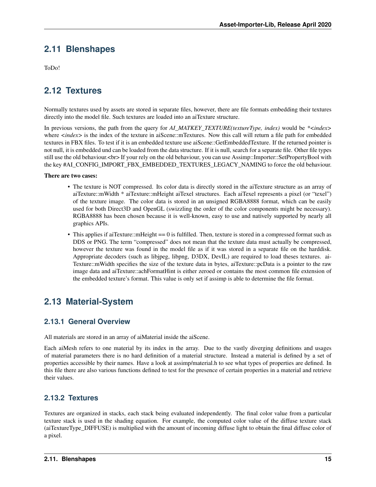# <span id="page-18-0"></span>**2.11 Blenshapes**

ToDo!

# <span id="page-18-1"></span>**2.12 Textures**

Normally textures used by assets are stored in separate files, however, there are file formats embedding their textures directly into the model file. Such textures are loaded into an aiTexture structure.

In previous versions, the path from the query for *AI\_MATKEY\_TEXTURE(textureType, index)* would be \*<*index>* where *<index*> is the index of the texture in aiScene::mTextures. Now this call will return a file path for embedded textures in FBX files. To test if it is an embedded texture use aiScene::GetEmbeddedTexture. If the returned pointer is not null, it is embedded und can be loaded from the data structure. If it is null, search for a separate file. Other file types still use the old behaviour.<br> If your rely on the old behaviour, you can use Assimp::Importer::SetPropertyBool with the key #AI\_CONFIG\_IMPORT\_FBX\_EMBEDDED\_TEXTURES\_LEGACY\_NAMING to force the old behaviour.

#### There are two cases:

- The texture is NOT compressed. Its color data is directly stored in the aiTexture structure as an array of aiTexture::mWidth \* aiTexture::mHeight aiTexel structures. Each aiTexel represents a pixel (or "texel") of the texture image. The color data is stored in an unsigned RGBA8888 format, which can be easily used for both Direct3D and OpenGL (swizzling the order of the color components might be necessary). RGBA8888 has been chosen because it is well-known, easy to use and natively supported by nearly all graphics APIs.
- This applies if aiTexture::mHeight == 0 is fulfilled. Then, texture is stored in a compressed format such as DDS or PNG. The term "compressed" does not mean that the texture data must actually be compressed, however the texture was found in the model file as if it was stored in a separate file on the harddisk. Appropriate decoders (such as libjpeg, libpng, D3DX, DevIL) are required to load theses textures. ai-Texture::mWidth specifies the size of the texture data in bytes, aiTexture::pcData is a pointer to the raw image data and aiTexture::achFormatHint is either zeroed or contains the most common file extension of the embedded texture's format. This value is only set if assimp is able to determine the file format.

# <span id="page-18-2"></span>**2.13 Material-System**

#### **2.13.1 General Overview**

All materials are stored in an array of aiMaterial inside the aiScene.

Each aiMesh refers to one material by its index in the array. Due to the vastly diverging definitions and usages of material parameters there is no hard definition of a material structure. Instead a material is defined by a set of properties accessible by their names. Have a look at assimp/material.h to see what types of properties are defined. In this file there are also various functions defined to test for the presence of certain properties in a material and retrieve their values.

#### **2.13.2 Textures**

Textures are organized in stacks, each stack being evaluated independently. The final color value from a particular texture stack is used in the shading equation. For example, the computed color value of the diffuse texture stack (aiTextureType\_DIFFUSE) is multiplied with the amount of incoming diffuse light to obtain the final diffuse color of a pixel.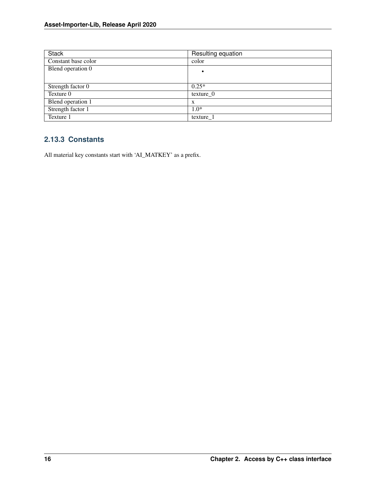| <b>Stack</b>        | Resulting equation |
|---------------------|--------------------|
| Constant base color | color              |
| Blend operation 0   |                    |
|                     |                    |
| Strength factor 0   | $0.25*$            |
| Texture 0           | $texture_0$        |
| Blend operation 1   | X                  |
| Strength factor 1   | $1.0*$             |
| Texture 1           | texture $_1$       |

#### **2.13.3 Constants**

All material key constants start with 'AI\_MATKEY' as a prefix.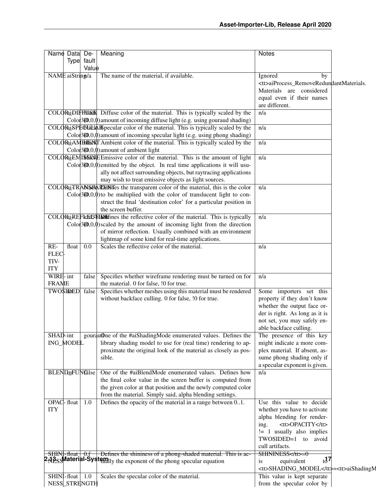|              | Name Data De-                                            | Type fault<br>Value | Meaning                                                                                                                                                                | <b>Notes</b>                                               |  |
|--------------|----------------------------------------------------------|---------------------|------------------------------------------------------------------------------------------------------------------------------------------------------------------------|------------------------------------------------------------|--|
|              | NAME aiString/a                                          |                     | The name of the material, if available.                                                                                                                                | Ignored<br>by                                              |  |
|              |                                                          |                     |                                                                                                                                                                        | <tt>aiProcess_RemoveRedundantMaterials.</tt>               |  |
|              |                                                          |                     |                                                                                                                                                                        | Materials are considered                                   |  |
|              |                                                          |                     |                                                                                                                                                                        | equal even if their names<br>are different.                |  |
|              |                                                          |                     | COLORLE DIFFINER Diffuse color of the material. This is typically scaled by the                                                                                        | n/a                                                        |  |
|              |                                                          |                     | $\text{Color3}(0,0,0)$ amount of incoming diffuse light (e.g. using gouraud shading)                                                                                   |                                                            |  |
|              |                                                          |                     | COLORISPECULE Specular color of the material. This is typically scaled by the                                                                                          | n/a                                                        |  |
|              |                                                          |                     | $\text{Color3}(0,0,0)$ amount of incoming specular light (e.g. using phong shading)                                                                                    |                                                            |  |
|              |                                                          |                     | COLORLAMBIENT Ambient color of the material. This is typically scaled by the                                                                                           | n/a                                                        |  |
|              |                                                          |                     | $\text{Colot}3(0,0,0)$ amount of ambient light                                                                                                                         |                                                            |  |
|              |                                                          |                     | COLORLEMISSIONE Emissive color of the material. This is the amount of light                                                                                            | n/a                                                        |  |
|              |                                                          |                     | $\text{Color3}(0,0,0)$ emitted by the object. In real time applications it will usu-                                                                                   |                                                            |  |
|              |                                                          |                     | ally not affect surrounding objects, but raytracing applications                                                                                                       |                                                            |  |
|              |                                                          |                     | may wish to treat emissive objects as light sources.                                                                                                                   |                                                            |  |
|              |                                                          |                     | COLORLITRANSE RENTES the transparent color of the material, this is the color                                                                                          | n/a                                                        |  |
|              |                                                          |                     | $\text{Color3}(0,0,0)$ to be multiplied with the color of translucent light to con-                                                                                    |                                                            |  |
|              |                                                          |                     | struct the final 'destination color' for a particular position in                                                                                                      |                                                            |  |
|              |                                                          |                     | the screen buffer.                                                                                                                                                     |                                                            |  |
|              |                                                          |                     | COLORLIKEFKECS black fines the reflective color of the material. This is typically<br>$\text{Color3}(0,0,0)$ scaled by the amount of incoming light from the direction | n/a                                                        |  |
|              |                                                          |                     | of mirror reflection. Usually combined with an environment                                                                                                             |                                                            |  |
|              |                                                          |                     | lightmap of some kind for real-time applications.                                                                                                                      |                                                            |  |
| RE-          | float                                                    | 0.0                 | Scales the reflective color of the material.                                                                                                                           | n/a                                                        |  |
| FLEC-        |                                                          |                     |                                                                                                                                                                        |                                                            |  |
| TIV-         |                                                          |                     |                                                                                                                                                                        |                                                            |  |
| <b>ITY</b>   |                                                          |                     |                                                                                                                                                                        |                                                            |  |
| WIRE- int    |                                                          | false               | Specifies whether wireframe rendering must be turned on for                                                                                                            | n/a                                                        |  |
| <b>FRAME</b> |                                                          |                     | the material. 0 for false, !0 for true.                                                                                                                                |                                                            |  |
|              | TWO\$IDED false                                          |                     | Specifies whether meshes using this material must be rendered                                                                                                          | Some importers set this                                    |  |
|              |                                                          |                     | without backface culling. 0 for false, !0 for true.                                                                                                                    | property if they don't know<br>whether the output face or- |  |
|              |                                                          |                     |                                                                                                                                                                        | der is right. As long as it is                             |  |
|              |                                                          |                     |                                                                                                                                                                        | not set, you may safely en-                                |  |
|              |                                                          |                     |                                                                                                                                                                        | able backface culling.                                     |  |
| SHAD-int     |                                                          |                     | gourauOne of the #aiShadingMode enumerated values. Defines the                                                                                                         | The presence of this key                                   |  |
|              | ING_MODEL                                                |                     | library shading model to use for (real time) rendering to ap-                                                                                                          | might indicate a more com-                                 |  |
|              |                                                          |                     | proximate the original look of the material as closely as pos-                                                                                                         | plex material. If absent, as-                              |  |
|              |                                                          |                     | sible.                                                                                                                                                                 | sume phong shading only if                                 |  |
|              |                                                          |                     |                                                                                                                                                                        | a specular exponent is given.                              |  |
|              | <b>BLENDnFUNGlise</b>                                    |                     | One of the #aiBlendMode enumerated values. Defines how                                                                                                                 | n/a                                                        |  |
|              |                                                          |                     | the final color value in the screen buffer is computed from                                                                                                            |                                                            |  |
|              |                                                          |                     | the given color at that position and the newly computed color<br>from the material. Simply said, alpha blending settings.                                              |                                                            |  |
|              | OPAC-float                                               | 1.0                 | Defines the opacity of the material in a range between 01.                                                                                                             | Use this value to decide                                   |  |
| <b>ITY</b>   |                                                          |                     |                                                                                                                                                                        | whether you have to activate                               |  |
|              |                                                          |                     |                                                                                                                                                                        | alpha blending for render-                                 |  |
|              |                                                          |                     |                                                                                                                                                                        | <tt>OPACITY</tt><br>ing.                                   |  |
|              |                                                          |                     |                                                                                                                                                                        | $!= 1$ usually also implies                                |  |
|              |                                                          |                     |                                                                                                                                                                        | TWOSIDED=1 to avoid                                        |  |
|              |                                                          |                     |                                                                                                                                                                        | cull artifacts.                                            |  |
|              | $\left  \text{SHIN} \right $ -float $\left  0.5 \right $ |                     | Defines the shininess of a phong-shaded material. This is ac-                                                                                                          | SHININESS=0                                                |  |
|              |                                                          |                     | $2\frac{1}{2}$ Material-System $_{\text{H2}}$ the exponent of the phong specular equation                                                                              | tJ<br>equivalent<br>1S                                     |  |
|              |                                                          |                     |                                                                                                                                                                        | <tt>SHADING_MODEL</tt> = <tt>aiShadingM</tt>               |  |
|              | $SHINI$ -float<br>NESS_STRENGTH                          | 1.0                 | Scales the specular color of the material.                                                                                                                             | This value is kept separate                                |  |
|              |                                                          |                     |                                                                                                                                                                        | from the specular color by                                 |  |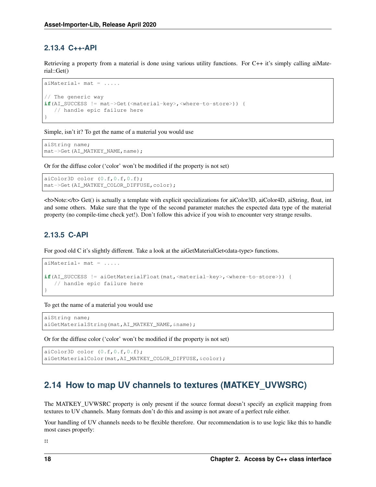#### **2.13.4 C++-API**

Retrieving a property from a material is done using various utility functions. For C++ it's simply calling aiMaterial::Get()

```
aiMaterial* mat = \ldots.
// The generic way
if(AI_SUCCESS != mat->Get(<material-key>,<where-to-store>)) {
   // handle epic failure here
}
```
Simple, isn't it? To get the name of a material you would use

```
aiString name;
mat->Get(AI_MATKEY_NAME, name);
```
Or for the diffuse color ('color' won't be modified if the property is not set)

```
aiColor3D color (0.f, 0.f, 0.f);
mat->Get(AI_MATKEY_COLOR_DIFFUSE,color);
```
<b>Note:</b> Get() is actually a template with explicit specializations for aiColor3D, aiColor4D, aiString, float, int and some others. Make sure that the type of the second parameter matches the expected data type of the material property (no compile-time check yet!). Don't follow this advice if you wish to encounter very strange results.

#### **2.13.5 C-API**

For good old C it's slightly different. Take a look at the aiGetMaterialGet<data-type> functions.

```
aiMaterial* mat = \dotsif(AI_SUCCESS != aiGetMaterialFloat(mat,<material-key>,<where-to-store>)) {
   // handle epic failure here
}
```
To get the name of a material you would use

```
aiString name;
aiGetMaterialString(mat, AI_MATKEY_NAME, &name);
```
Or for the diffuse color ('color' won't be modified if the property is not set)

```
aiColor3D color (0.f,0.f,0.f);
aiGetMaterialColor(mat,AI_MATKEY_COLOR_DIFFUSE,&color);
```
#### <span id="page-21-0"></span>**2.14 How to map UV channels to textures (MATKEY\_UVWSRC)**

The MATKEY UVWSRC property is only present if the source format doesn't specify an explicit mapping from textures to UV channels. Many formats don't do this and assimp is not aware of a perfect rule either.

Your handling of UV channels needs to be flexible therefore. Our recommendation is to use logic like this to handle most cases properly:

::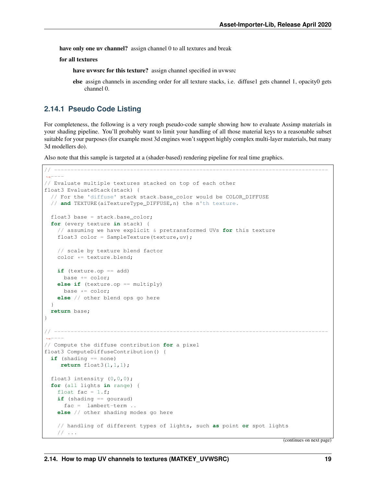have only one uv channel? assign channel 0 to all textures and break

for all textures

have uvwsrc for this texture? assign channel specified in uvwsrc

else assign channels in ascending order for all texture stacks, i.e. diffuse1 gets channel 1, opacity0 gets channel 0.

#### **2.14.1 Pseudo Code Listing**

For completeness, the following is a very rough pseudo-code sample showing how to evaluate Assimp materials in your shading pipeline. You'll probably want to limit your handling of all those material keys to a reasonable subset suitable for your purposes (for example most 3d engines won't support highly complex multi-layer materials, but many 3d modellers do).

Also note that this sample is targeted at a (shader-based) rendering pipeline for real time graphics.

```
// -----------------------------------------------------------------------------------
\leftrightarrow ---// Evaluate multiple textures stacked on top of each other
float3 EvaluateStack(stack) {
  // For the 'diffuse' stack stack.base_color would be COLOR_DIFFUSE
  // and TEXTURE(aiTextureType_DIFFUSE,n) the n'th texture.
  float3 base = stack.base_color;
  for (every texture in stack) {
    // assuming we have explicit & pretransformed UVs for this texture
    float3 color = SampleTexture(texture,uv);
   // scale by texture blend factor
   color *= texture.blend;
   if (texture.op == add)
     base += color;
   else if (texture.op == multiply)
     base *= color;
    else // other blend ops go here
  }
  return base;
}
// -----------------------------------------------------------------------------------
\leftrightarrow ---// Compute the diffuse contribution for a pixel
float3 ComputeDiffuseContribution() {
  if (shading == none)
     return float3(1,1,1);
  float3 intensity (0,0,0);
  for (all lights in range) {
    float fac = 1.f;
    if (shading == gouraud)
      fac = lambert-term ..
    else // other shading modes go here
    // handling of different types of lights, such as point or spot lights
    // ...
```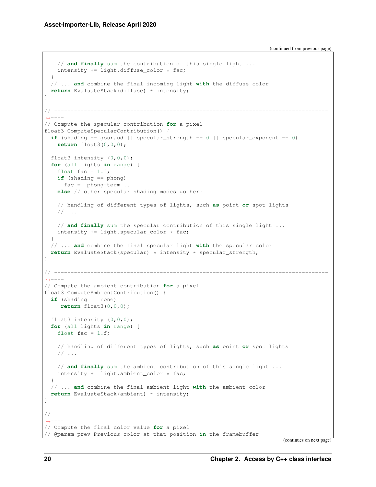```
// and finally sum the contribution of this single light ...
    intensity += light.diffuse_color * fac;
  }
  // ... and combine the final incoming light with the diffuse color
  return EvaluateStack(diffuse) * intensity;
}
// -----------------------------------------------------------------------------------
\leftrightarrow ---// Compute the specular contribution for a pixel
float3 ComputeSpecularContribution() {
 if (shading == gouraud || specular_strength == 0 || specular_exponent == 0)
    return float3(0,0,0);
 float3 intensity (0,0,0);
  for (all lights in range) {
   float fac = 1.f;
    if (shading == phong)
     fac = phong-term ..
    else // other specular shading modes go here
    // handling of different types of lights, such as point or spot lights
   // ...
   // and finally sum the specular contribution of this single light ...
   intensity += light.specular_color * fac;
  }
  // ... and combine the final specular light with the specular color
  return EvaluateStack(specular) * intensity * specular_strength;
}
// -----------------------------------------------------------------------------------
\leftrightarrow ---// Compute the ambient contribution for a pixel
float3 ComputeAmbientContribution() {
 if (shading == none)
    return float3(0,0,0);
  float3 intensity (0,0,0);
  for (all lights in range) {
   float fac = 1.f;
   // handling of different types of lights, such as point or spot lights
    // ...
    // and finally sum the ambient contribution of this single light ...
   intensity += light.ambient_color * fac;
  }
  // ... and combine the final ambient light with the ambient color
 return EvaluateStack(ambient) * intensity;
}
// -----------------------------------------------------------------------------------
\rightarrow// Compute the final color value for a pixel
// @param prev Previous color at that position in the framebuffer
```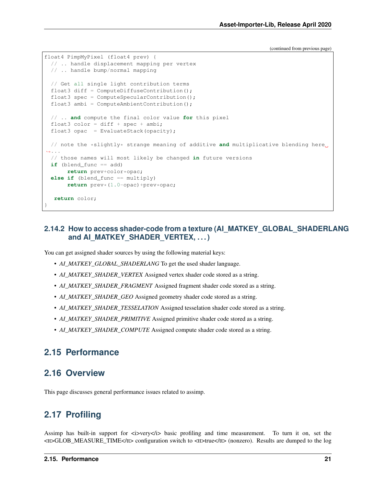```
float4 PimpMyPixel (float4 prev) {
 // .. handle displacement mapping per vertex
 // .. handle bump/normal mapping
 // Get all single light contribution terms
 float3 diff = ComputeDiffuseContribution();
 float3 spec = ComputeSpecularContribution();
 float3 ambi = ComputeAmbientContribution();
 // .. and compute the final color value for this pixel
 float3 color = diff + spec + ambi;
 float3 opac = EvaluateStack(opacity);
 // note the *slightly* strange meaning of additive and multiplicative blending here
˓→...
 // those names will most likely be changed in future versions
 if (blend_func == add)
      return prev+color*opac;
 else if (blend_func == multiply)
      return prev*(1.0-opac)+prev*opac;
  return color;
}
```
#### **2.14.2 How to access shader-code from a texture (AI\_MATKEY\_GLOBAL\_SHADERLANG and AI\_MATKEY\_SHADER\_VERTEX, . . . )**

You can get assigned shader sources by using the following material keys:

- *AI\_MATKEY\_GLOBAL\_SHADERLANG* To get the used shader language.
- *AI\_MATKEY\_SHADER\_VERTEX\_Assigned vertex shader code stored as a string.*
- *AI\_MATKEY\_SHADER\_FRAGMENT* Assigned fragment shader code stored as a string.
- *AI\_MATKEY\_SHADER\_GEO* Assigned geometry shader code stored as a string.
- *AI\_MATKEY\_SHADER\_TESSELATION* Assigned tesselation shader code stored as a string.
- *AI\_MATKEY\_SHADER\_PRIMITIVE* Assigned primitive shader code stored as a string.
- *AI\_MATKEY\_SHADER\_COMPUTE* Assigned compute shader code stored as a string.

#### <span id="page-24-0"></span>**2.15 Performance**

#### <span id="page-24-1"></span>**2.16 Overview**

This page discusses general performance issues related to assimp.

# <span id="page-24-2"></span>**2.17 Profiling**

Assimp has built-in support for  $\langle i \rangle$ very $\langle i \rangle$  basic profiling and time measurement. To turn it on, set the  $$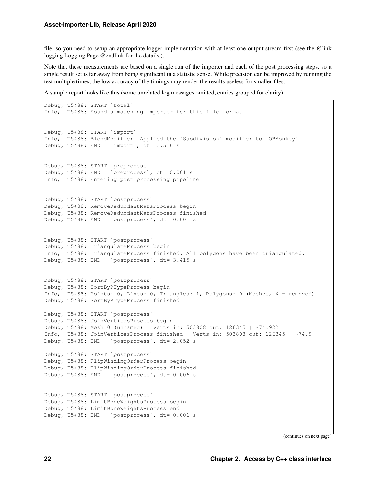file, so you need to setup an appropriate logger implementation with at least one output stream first (see the @link logging Logging Page @endlink for the details.).

Note that these measurements are based on a single run of the importer and each of the post processing steps, so a single result set is far away from being significant in a statistic sense. While precision can be improved by running the test multiple times, the low accuracy of the timings may render the results useless for smaller files.

A sample report looks like this (some unrelated log messages omitted, entries grouped for clarity):

```
Debug, T5488: START `total`
Info, T5488: Found a matching importer for this file format
Debug, T5488: START `import`
Info, T5488: BlendModifier: Applied the `Subdivision` modifier to `OBMonkey`
Debug, T5488: END `import`, dt= 3.516 s
Debug, T5488: START `preprocess`
Debug, T5488: END `preprocess`, dt= 0.001 s
Info, T5488: Entering post processing pipeline
Debug, T5488: START `postprocess`
Debug, T5488: RemoveRedundantMatsProcess begin
Debug, T5488: RemoveRedundantMatsProcess finished
Debug, T5488: END `postprocess`, dt= 0.001 s
Debug, T5488: START `postprocess`
Debug, T5488: TriangulateProcess begin
Info, T5488: TriangulateProcess finished. All polygons have been triangulated.
Debug, T5488: END `postprocess`, dt= 3.415 s
Debug, T5488: START `postprocess`
Debug, T5488: SortByPTypeProcess begin
Info, T5488: Points: 0, Lines: 0, Triangles: 1, Polygons: 0 (Meshes, X = removed)
Debug, T5488: SortByPTypeProcess finished
Debug, T5488: START `postprocess`
Debug, T5488: JoinVerticesProcess begin
Debug, T5488: Mesh 0 (unnamed) | Verts in: 503808 out: 126345 | ~74.922
Info, T5488: JoinVerticesProcess finished | Verts in: 503808 out: 126345 | ~74.9
Debug, T5488: END `postprocess`, dt= 2.052 s
Debug, T5488: START `postprocess`
Debug, T5488: FlipWindingOrderProcess begin
Debug, T5488: FlipWindingOrderProcess finished
Debug, T5488: END `postprocess`, dt= 0.006 s
Debug, T5488: START `postprocess`
Debug, T5488: LimitBoneWeightsProcess begin
Debug, T5488: LimitBoneWeightsProcess end
Debug, T5488: END `postprocess`, dt= 0.001 s
```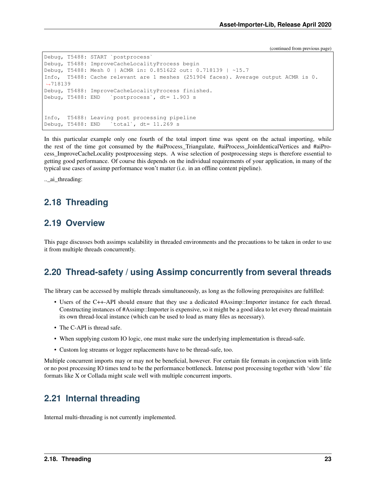```
Debug, T5488: START `postprocess`
Debug, T5488: ImproveCacheLocalityProcess begin
Debug, T5488: Mesh 0 | ACMR in: 0.851622 out: 0.718139 | ~15.7
Info, T5488: Cache relevant are 1 meshes (251904 faces). Average output ACMR is 0.
˓→718139
Debug, T5488: ImproveCacheLocalityProcess finished.
Debug, T5488: END `postprocess`, dt= 1.903 s
Info, T5488: Leaving post processing pipeline
Debug, T5488: END `total`, dt= 11.269 s
```
In this particular example only one fourth of the total import time was spent on the actual importing, while the rest of the time got consumed by the #aiProcess\_Triangulate, #aiProcess\_JoinIdenticalVertices and #aiProcess\_ImproveCacheLocality postprocessing steps. A wise selection of postprocessing steps is therefore essential to getting good performance. Of course this depends on the individual requirements of your application, in many of the typical use cases of assimp performance won't matter (i.e. in an offline content pipeline).

..\_ai\_threading:

# <span id="page-26-0"></span>**2.18 Threading**

#### <span id="page-26-1"></span>**2.19 Overview**

This page discusses both assimps scalability in threaded environments and the precautions to be taken in order to use it from multiple threads concurrently.

### <span id="page-26-2"></span>**2.20 Thread-safety / using Assimp concurrently from several threads**

The library can be accessed by multiple threads simultaneously, as long as the following prerequisites are fulfilled:

- Users of the C++-API should ensure that they use a dedicated #Assimp::Importer instance for each thread. Constructing instances of #Assimp::Importer is expensive, so it might be a good idea to let every thread maintain its own thread-local instance (which can be used to load as many files as necessary).
- The C-API is thread safe.
- When supplying custom IO logic, one must make sure the underlying implementation is thread-safe.
- Custom log streams or logger replacements have to be thread-safe, too.

Multiple concurrent imports may or may not be beneficial, however. For certain file formats in conjunction with little or no post processing IO times tend to be the performance bottleneck. Intense post processing together with 'slow' file formats like X or Collada might scale well with multiple concurrent imports.

#### <span id="page-26-3"></span>**2.21 Internal threading**

Internal multi-threading is not currently implemented.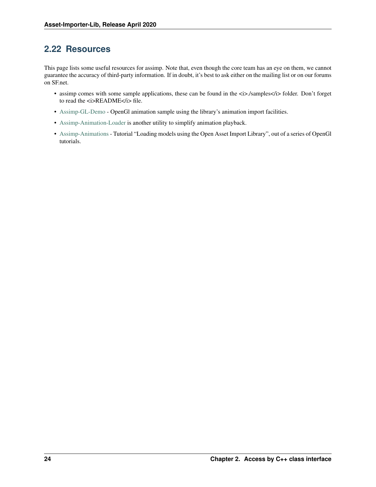# <span id="page-27-0"></span>**2.22 Resources**

This page lists some useful resources for assimp. Note that, even though the core team has an eye on them, we cannot guarantee the accuracy of third-party information. If in doubt, it's best to ask either on the mailing list or on our forums on SF.net.

- assimp comes with some sample applications, these can be found in the  $\langle i \rangle$ /samples $\langle i \rangle$  folder. Don't forget to read the *<u>i</u>>README </i*> file.
- [Assimp-GL-Demo](http://www.drivenbynostalgia.com/files/AssimpOpenGLDemo.rar) OpenGl animation sample using the library's animation import facilities.
- [Assimp-Animation-Loader](http://nolimitsdesigns.com/game-design/open-asset-import-library-animation-loader/) is another utility to simplify animation playback.
- [Assimp-Animations](http://ogldev.atspace.co.uk/www/tutorial22/tutorial22.html) Tutorial "Loading models using the Open Asset Import Library", out of a series of OpenGl tutorials.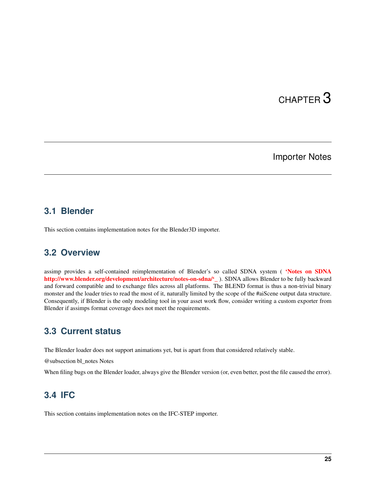# CHAPTER 3

# Importer Notes

#### <span id="page-28-1"></span><span id="page-28-0"></span>**3.1 Blender**

This section contains implementation notes for the Blender3D importer.

#### <span id="page-28-2"></span>**3.2 Overview**

assimp provides a self-contained reimplementation of Blender's so called SDNA system ( 'Notes on SDNA http://www.blender.org/development/architecture/notes-on-sdna/'\_). SDNA allows Blender to be fully backward and forward compatible and to exchange files across all platforms. The BLEND format is thus a non-trivial binary monster and the loader tries to read the most of it, naturally limited by the scope of the #aiScene output data structure. Consequently, if Blender is the only modeling tool in your asset work flow, consider writing a custom exporter from Blender if assimps format coverage does not meet the requirements.

#### <span id="page-28-3"></span>**3.3 Current status**

The Blender loader does not support animations yet, but is apart from that considered relatively stable.

@subsection bl\_notes Notes

When filing bugs on the Blender loader, always give the Blender version (or, even better, post the file caused the error).

# <span id="page-28-4"></span>**3.4 IFC**

This section contains implementation notes on the IFC-STEP importer.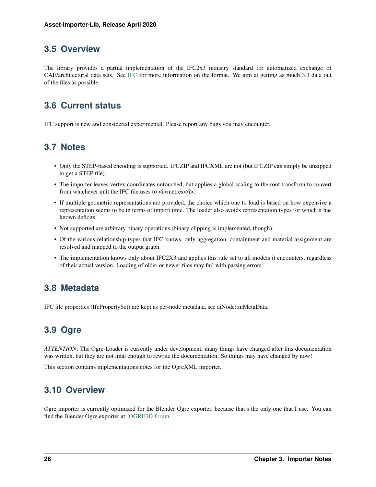# <span id="page-29-0"></span>**3.5 Overview**

The library provides a partial implementation of the IFC2x3 industry standard for automatized exchange of CAE/architectural data sets. See [IFC](http://en.wikipedia.org/wiki/Industry_Foundation_Classes) for more information on the format. We aim at getting as much 3D data out of the files as possible.

# <span id="page-29-1"></span>**3.6 Current status**

IFC support is new and considered experimental. Please report any bugs you may encounter.

# <span id="page-29-2"></span>**3.7 Notes**

- Only the STEP-based encoding is supported. IFCZIP and IFCXML are not (but IFCZIP can simply be unzipped to get a STEP file).
- The importer leaves vertex coordinates untouched, but applies a global scaling to the root transform to convert from whichever unit the IFC file uses to  $\langle$ i>metres $\langle$ i>.
- If multiple geometric representations are provided, the choice which one to load is based on how expensive a representation seems to be in terms of import time. The loader also avoids representation types for which it has known deficits.
- Not supported are arbitrary binary operations (binary clipping is implemented, though).
- Of the various relationship types that IFC knows, only aggregation, containment and material assignment are resolved and mapped to the output graph.
- The implementation knows only about IFC2X3 and applies this rule set to all models it encounters, regardless of their actual version. Loading of older or newer files may fail with parsing errors.

# <span id="page-29-3"></span>**3.8 Metadata**

IFC file properties (IfcPropertySet) are kept as per-node metadata, see aiNode::mMetaData.

# <span id="page-29-4"></span>**3.9 Ogre**

*ATTENTION*: The Ogre-Loader is currently under development, many things have changed after this documentation was written, but they are not final enough to rewrite the documentation. So things may have changed by now!

This section contains implementations notes for the OgreXML importer.

# <span id="page-29-5"></span>**3.10 Overview**

Ogre importer is currently optimized for the Blender Ogre exporter, because that's the only one that I use. You can find the Blender Ogre exporter at: [OGRE3D forum](http://www.ogre3d.org/forums/viewtopic.php?f=8&t=45922)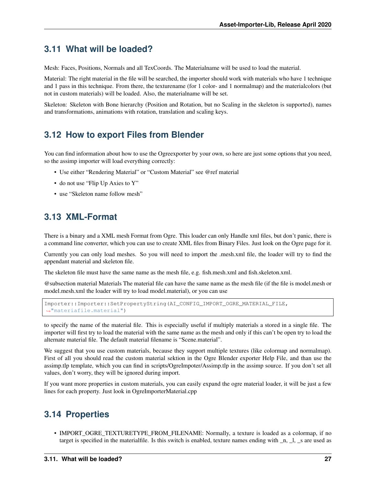# <span id="page-30-0"></span>**3.11 What will be loaded?**

Mesh: Faces, Positions, Normals and all TexCoords. The Materialname will be used to load the material.

Material: The right material in the file will be searched, the importer should work with materials who have 1 technique and 1 pass in this technique. From there, the texturename (for 1 color- and 1 normalmap) and the materialcolors (but not in custom materials) will be loaded. Also, the materialname will be set.

Skeleton: Skeleton with Bone hierarchy (Position and Rotation, but no Scaling in the skeleton is supported), names and transformations, animations with rotation, translation and scaling keys.

# <span id="page-30-1"></span>**3.12 How to export Files from Blender**

You can find information about how to use the Ogreexporter by your own, so here are just some options that you need, so the assimp importer will load everything correctly:

- Use either "Rendering Material" or "Custom Material" see @ref material
- do not use "Flip Up Axies to Y"
- use "Skeleton name follow mesh"

# <span id="page-30-2"></span>**3.13 XML-Format**

There is a binary and a XML mesh Format from Ogre. This loader can only Handle xml files, but don't panic, there is a command line converter, which you can use to create XML files from Binary Files. Just look on the Ogre page for it.

Currently you can only load meshes. So you will need to import the .mesh.xml file, the loader will try to find the appendant material and skeleton file.

The skeleton file must have the same name as the mesh file, e.g. fish.mesh.xml and fish.skeleton.xml.

@subsection material Materials The material file can have the same name as the mesh file (if the file is model.mesh or model.mesh.xml the loader will try to load model.material), or you can use

```
Importer::Importer::SetPropertyString(AI_CONFIG_IMPORT_OGRE_MATERIAL_FILE,
˓→"materiafile.material")
```
to specify the name of the material file. This is especially useful if multiply materials a stored in a single file. The importer will first try to load the material with the same name as the mesh and only if this can't be open try to load the alternate material file. The default material filename is "Scene.material".

We suggest that you use custom materials, because they support multiple textures (like colormap and normalmap). First of all you should read the custom material sektion in the Ogre Blender exporter Help File, and than use the assimp.tlp template, which you can find in scripts/OgreImpoter/Assimp.tlp in the assimp source. If you don't set all values, don't worry, they will be ignored during import.

If you want more properties in custom materials, you can easily expand the ogre material loader, it will be just a few lines for each property. Just look in OgreImporterMaterial.cpp

# <span id="page-30-3"></span>**3.14 Properties**

• IMPORT\_OGRE\_TEXTURETYPE\_FROM\_FILENAME: Normally, a texture is loaded as a colormap, if no target is specified in the materialfile. Is this switch is enabled, texture names ending with  $n$ ,  $l$ ,  $s$  are used as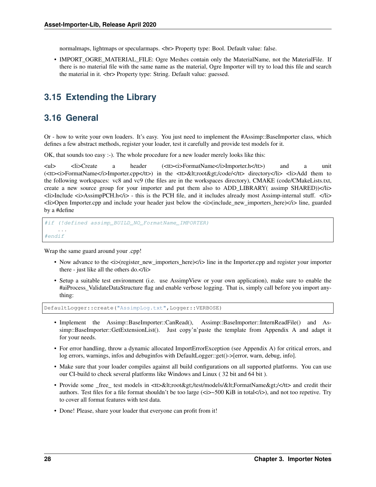normalmaps, lightmaps or specularmaps.  $\langle$ br> Property type: Bool. Default value: false.

• IMPORT\_OGRE\_MATERIAL\_FILE: Ogre Meshes contain only the MaterialName, not the MaterialFile. If there is no material file with the same name as the material, Ogre Importer will try to load this file and search the material in it. < br> Property type: String. Default value: guessed.

# <span id="page-31-0"></span>**3.15 Extending the Library**

# <span id="page-31-1"></span>**3.16 General**

Or - how to write your own loaders. It's easy. You just need to implement the #Assimp::BaseImporter class, which defines a few abstract methods, register your loader, test it carefully and provide test models for it.

OK, that sounds too easy :-). The whole procedure for a new loader merely looks like this:

<ul> <li>Create a header (<tt><i>FormatName</i>Importer.h</tt>) and a unit (<tt><i>FormatName</i>Importer.cpp</tt> in the <tt>&lt;root&gt;/code/</tt> directory</li> <li>Add them to the following workspaces: vc8 and vc9 (the files are in the workspaces directory), CMAKE (code/CMakeLists.txt, create a new source group for your importer and put them also to ADD\_LIBRARY( assimp SHARED))</li>  $\langle$ li>Include  $\langle$ i>AssimpPCH.h $\langle$ i> - this is the PCH file, and it includes already most Assimp-internal stuff.  $\langle$ /li> <li>Open Importer.cpp and include your header just below the <i>(include\_new\_importers\_here)</i> line, guarded by a #define

```
#if (!defined assimp_BUILD_NO_FormatName_IMPORTER)
    ...
#endif
```
Wrap the same guard around your .cpp!

- Now advance to the  $\langle i \rangle$  (register\_new\_importers\_here) $\langle i \rangle$  line in the Importer.cpp and register your importer there - just like all the others do.</li>
- Setup a suitable test environment (i.e. use AssimpView or your own application), make sure to enable the #aiProcess\_ValidateDataStructure flag and enable verbose logging. That is, simply call before you import anything:

DefaultLogger::create("AssimpLog.txt",Logger::VERBOSE)

- Implement the Assimp::BaseImporter::CanRead(), Assimp::BaseImporter::InternReadFile() and Assimp::BaseImporter::GetExtensionList(). Just copy'n'paste the template from Appendix A and adapt it for your needs.
- For error handling, throw a dynamic allocated ImportErrorException (see Appendix A) for critical errors, and log errors, warnings, infos and debuginfos with DefaultLogger::get()->[error, warn, debug, info].
- Make sure that your loader compiles against all build configurations on all supported platforms. You can use our CI-build to check several platforms like Windows and Linux ( 32 bit and 64 bit ).
- Provide some \_free\_ test models in <tt>&lt;root&gt;/test/models/&lt;FormatName&gt;/</tt> and credit their authors. Test files for a file format shouldn't be too large ( $\langle i \rangle$ -500 KiB in total $\langle i \rangle$ ), and not too repetive. Try to cover all format features with test data.
- Done! Please, share your loader that everyone can profit from it!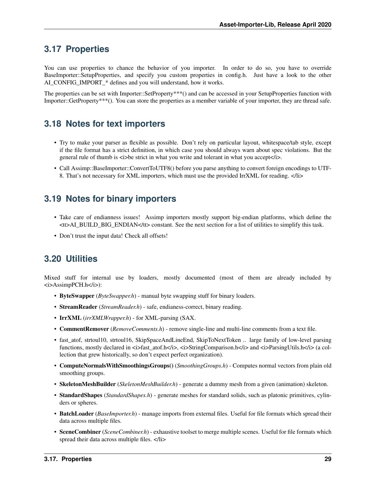# <span id="page-32-0"></span>**3.17 Properties**

You can use properties to chance the behavior of you importer. In order to do so, you have to override BaseImporter::SetupProperties, and specify you custom properties in config.h. Just have a look to the other AI\_CONFIG\_IMPORT\_\* defines and you will understand, how it works.

The properties can be set with Importer::SetProperty\*\*\*() and can be accessed in your SetupProperties function with Importer::GetProperty\*\*\*(). You can store the properties as a member variable of your importer, they are thread safe.

#### <span id="page-32-1"></span>**3.18 Notes for text importers**

- Try to make your parser as flexible as possible. Don't rely on particular layout, whitespace/tab style, except if the file format has a strict definition, in which case you should always warn about spec violations. But the general rule of thumb is  $\langle \rangle$  be strict in what you write and tolerant in what you accept $\langle \rangle$ .
- Call Assimp::BaseImporter::ConvertToUTF8() before you parse anything to convert foreign encodings to UTF-8. That's not necessary for XML importers, which must use the provided IrrXML for reading. </li>

# <span id="page-32-2"></span>**3.19 Notes for binary importers**

- Take care of endianness issues! Assimp importers mostly support big-endian platforms, which define the <tt>AI\_BUILD\_BIG\_ENDIAN</tt> constant. See the next section for a list of utilities to simplify this task.
- Don't trust the input data! Check all offsets!

#### <span id="page-32-3"></span>**3.20 Utilities**

Mixed stuff for internal use by loaders, mostly documented (most of them are already included by  $\langle i \rangle$ AssimpPCH.h $\langle i \rangle$ :

- ByteSwapper (*ByteSwapper.h*) manual byte swapping stuff for binary loaders.
- StreamReader (*StreamReader.h*) safe, endianess-correct, binary reading.
- IrrXML (*irrXMLWrapper.h*) for XML-parsing (SAX.
- CommentRemover (*RemoveComments.h*) remove single-line and multi-line comments from a text file.
- fast\_atof, strtoul10, strtoul16, SkipSpaceAndLineEnd, SkipToNextToken .. large family of low-level parsing functions, mostly declared in  $\langle i \rangle$  fast\_atof.h $\langle i \rangle$ ,  $\langle i \rangle$ StringComparison.h $\langle i \rangle$  and  $\langle i \rangle$ ParsingUtils.h $\langle i \rangle$  (a collection that grew historically, so don't expect perfect organization).
- ComputeNormalsWithSmoothingsGroups() (*SmoothingGroups.h*) Computes normal vectors from plain old smoothing groups.
- SkeletonMeshBuilder (*SkeletonMeshBuilder.h*) generate a dummy mesh from a given (animation) skeleton.
- StandardShapes (*StandardShapes.h*) generate meshes for standard solids, such as platonic primitives, cylinders or spheres.
- BatchLoader (*BaseImporter.h*) manage imports from external files. Useful for file formats which spread their data across multiple files.
- SceneCombiner (*SceneCombiner.h*) exhaustive toolset to merge multiple scenes. Useful for file formats which spread their data across multiple files. </li>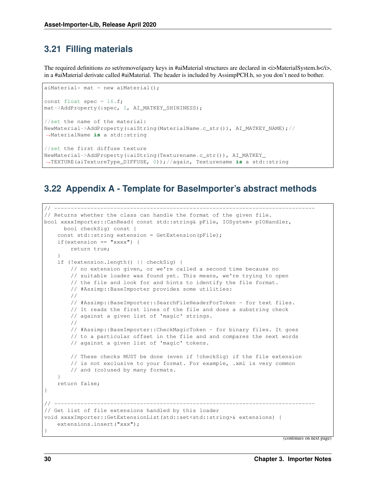# <span id="page-33-0"></span>**3.21 Filling materials**

The required definitions zo set/remove/query keys in #aiMaterial structures are declared in  $\langle i \rangle$ MaterialSystem.h $\langle i \rangle$ , in a #aiMaterial derivate called #aiMaterial. The header is included by AssimpPCH.h, so you don't need to bother.

```
aiMaterial* mat = new aiMaterial();
const float spec = 16.f;
mat->AddProperty(&spec, 1, AI_MATKEY_SHININESS);
//set the name of the material:
NewMaterial->AddProperty(&aiString(MaterialName.c_str()), AI_MATKEY_NAME);//
˓→MaterialName is a std::string
//set the first diffuse texture
NewMaterial->AddProperty(&aiString(Texturename.c_str()), AI_MATKEY_
˓→TEXTURE(aiTextureType_DIFFUSE, 0));//again, Texturename is a std::string
```
# <span id="page-33-1"></span>**3.22 Appendix A - Template for BaseImporter's abstract methods**

```
// -------------------------------------------------------------------------------
// Returns whether the class can handle the format of the given file.
bool xxxxImporter::CanRead( const std::string& pFile, IOSystem* pIOHandler,
     bool checkSig) const {
   const std::string extension = GetExtension(pFile);
   if(extension == "xxxx") {
        return true;
    }
    if (!extension.length() || checkSig) {
        // no extension given, or we're called a second time because no
        // suitable loader was found yet. This means, we're trying to open
        // the file and look for and hints to identify the file format.
        // #Assimp::BaseImporter provides some utilities:
        //
        // #Assimp::BaseImporter::SearchFileHeaderForToken - for text files.
        // It reads the first lines of the file and does a substring check
        // against a given list of 'magic' strings.
        //
        // #Assimp::BaseImporter::CheckMagicToken - for binary files. It goes
        // to a particular offset in the file and and compares the next words
        // against a given list of 'magic' tokens.
        // These checks MUST be done (even if !checkSig) if the file extension
        // is not exclusive to your format. For example, .xml is very common
        // and (co)used by many formats.
    }
   return false;
}
// -------------------------------------------------------------------------------
// Get list of file extensions handled by this loader
void xxxxImporter::GetExtensionList(std::set<std::string>& extensions) {
    extensions.insert("xxx");
}
```